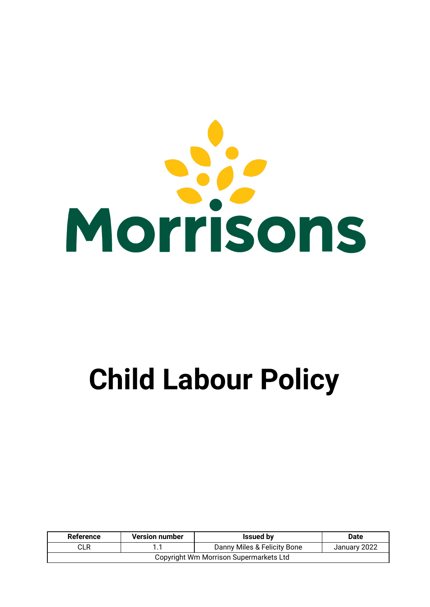

# **Child Labour Policy**

| Reference                              | <b>Version number</b> | <b>Issued by</b>            | <b>Date</b>  |
|----------------------------------------|-----------------------|-----------------------------|--------------|
| CLR                                    |                       | Danny Miles & Felicity Bone | January 2022 |
| Copyright Wm Morrison Supermarkets Ltd |                       |                             |              |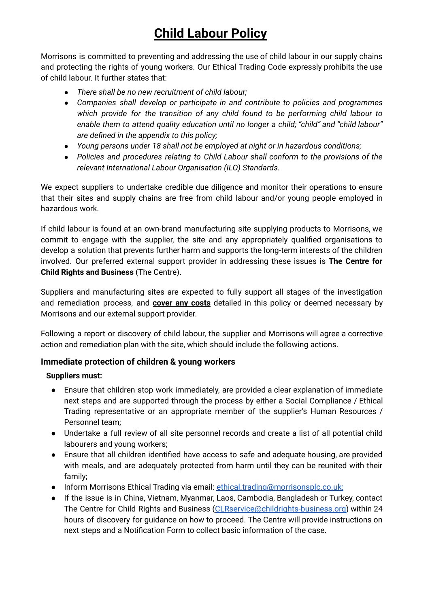## **Child Labour Policy**

Morrisons is committed to preventing and addressing the use of child labour in our supply chains and protecting the rights of young workers. Our Ethical Trading Code expressly prohibits the use of child labour. It further states that:

- *● There shall be no new recruitment of child labour;*
- *● Companies shall develop or participate in and contribute to policies and programmes which provide for the transition of any child found to be performing child labour to enable them to attend quality education until no longer a child; "child" and "child labour" are defined in the appendix to this policy;*
- *● Young persons under 18 shall not be employed at night or in hazardous conditions;*
- *● Policies and procedures relating to Child Labour shall conform to the provisions of the relevant International Labour Organisation (ILO) Standards.*

We expect suppliers to undertake credible due diligence and monitor their operations to ensure that their sites and supply chains are free from child labour and/or young people employed in hazardous work.

If child labour is found at an own-brand manufacturing site supplying products to Morrisons, we commit to engage with the supplier, the site and any appropriately qualified organisations to develop a solution that prevents further harm and supports the long-term interests of the children involved. Our preferred external support provider in addressing these issues is **The Centre for Child Rights and Business** (The Centre).

Suppliers and manufacturing sites are expected to fully support all stages of the investigation and remediation process, and **cover any costs** detailed in this policy or deemed necessary by Morrisons and our external support provider.

Following a report or discovery of child labour, the supplier and Morrisons will agree a corrective action and remediation plan with the site, which should include the following actions.

### **Immediate protection of children & young workers**

#### **Suppliers must:**

- Ensure that children stop work immediately, are provided a clear explanation of immediate next steps and are supported through the process by either a Social Compliance / Ethical Trading representative or an appropriate member of the supplier's Human Resources / Personnel team;
- Undertake a full review of all site personnel records and create a list of all potential child labourers and young workers;
- Ensure that all children identified have access to safe and adequate housing, are provided with meals, and are adequately protected from harm until they can be reunited with their family;
- Inform Morrisons Ethical Trading via email: [ethical.trading@morrisonsplc.co.uk;](mailto:ethical.trading@morrisonsplc.co.uk)
- If the issue is in China, Vietnam, Myanmar, Laos, Cambodia, Bangladesh or Turkey, contact The Centre for Child Rights and Business [\(CLRservice@childrights-business.org\)](mailto:CLRservice@childrights-business.org) within 24 hours of discovery for guidance on how to proceed. The Centre will provide instructions on next steps and a Notification Form to collect basic information of the case.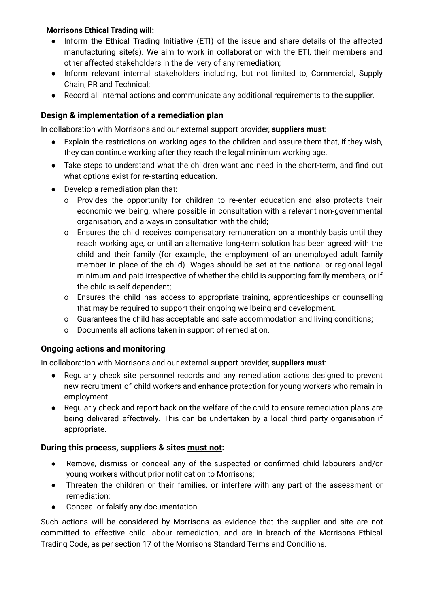#### **Morrisons Ethical Trading will:**

- Inform the Ethical Trading Initiative (ETI) of the issue and share details of the affected manufacturing site(s). We aim to work in collaboration with the ETI, their members and other affected stakeholders in the delivery of any remediation;
- Inform relevant internal stakeholders including, but not limited to, Commercial, Supply Chain, PR and Technical;
- Record all internal actions and communicate any additional requirements to the supplier.

#### **Design & implementation of a remediation plan**

In collaboration with Morrisons and our external support provider, **suppliers must**:

- Explain the restrictions on working ages to the children and assure them that, if they wish, they can continue working after they reach the legal minimum working age.
- Take steps to understand what the children want and need in the short-term, and find out what options exist for re-starting education.
- Develop a remediation plan that:
	- o Provides the opportunity for children to re-enter education and also protects their economic wellbeing, where possible in consultation with a relevant non-governmental organisation, and always in consultation with the child;
	- o Ensures the child receives compensatory remuneration on a monthly basis until they reach working age, or until an alternative long-term solution has been agreed with the child and their family (for example, the employment of an unemployed adult family member in place of the child). Wages should be set at the national or regional legal minimum and paid irrespective of whether the child is supporting family members, or if the child is self-dependent;
	- o Ensures the child has access to appropriate training, apprenticeships or counselling that may be required to support their ongoing wellbeing and development.
	- o Guarantees the child has acceptable and safe accommodation and living conditions;
	- o Documents all actions taken in support of remediation.

#### **Ongoing actions and monitoring**

In collaboration with Morrisons and our external support provider, **suppliers must**:

- Regularly check site personnel records and any remediation actions designed to prevent new recruitment of child workers and enhance protection for young workers who remain in employment.
- Regularly check and report back on the welfare of the child to ensure remediation plans are being delivered effectively. This can be undertaken by a local third party organisation if appropriate.

#### **During this process, suppliers & sites must not:**

- Remove, dismiss or conceal any of the suspected or confirmed child labourers and/or young workers without prior notification to Morrisons;
- Threaten the children or their families, or interfere with any part of the assessment or remediation;
- Conceal or falsify any documentation.

Such actions will be considered by Morrisons as evidence that the supplier and site are not committed to effective child labour remediation, and are in breach of the Morrisons Ethical Trading Code, as per section 17 of the Morrisons Standard Terms and Conditions.